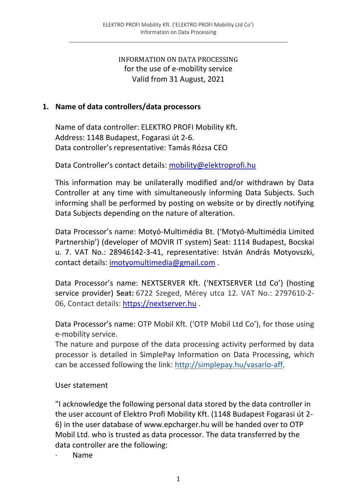#### INFORMATION ON DATA PROCESSING for the use of e-mobility service Valid from 31 August, 2021

#### **1. Name of data controllers/data processors**

Name of data controller: ELEKTRO PROFI Mobility Kft. Address: 1148 Budapest, Fogarasi út 2-6. Data controller's representative: Tamás Rózsa CEO

Data Controller's contact details: mobility@elektroprofi.hu

This information may be unilaterally modified and/or withdrawn by Data Controller at any time with simultaneously informing Data Subjects. Such informing shall be performed by posting on website or by directly notifying Data Subjects depending on the nature of alteration.

Data Processor's name: Motyó-Multimédia Bt. ('Motyó-Multimédia Limited Partnership') (developer of MOVIR IT system) Seat: 1114 Budapest, Bocskai u. 7. VAT No.: 28946142-3-41, representative: István András Motyovszki, contact details: imotyomultimedia@gmail.com .

Data Processor's name: NEXTSERVER Kft. ('NEXTSERVER Ltd Co') (hosting service provider) **Seat:** 6722 Szeged, Mérey utca 12. VAT No.: 2797610-2- 06, Contact details: https://nextserver.hu .

Data Processor's name: OTP Mobil Kft. ('OTP Mobil Ltd Co'), for those using e-mobility service.

The nature and purpose of the data processing activity performed by data processor is detailed in SimplePay Information on Data Processing, which can be accessed following the link: http://simplepay.hu/vasarlo-aff.

User statement

"I acknowledge the following personal data stored by the data controller in the user account of Elektro Profi Mobility Kft. (1148 Budapest Fogarasi út 2- 6) in the user database of www.epcharger.hu will be handed over to OTP Mobil Ltd. who is trusted as data processor. The data transferred by the data controller are the following:

· Name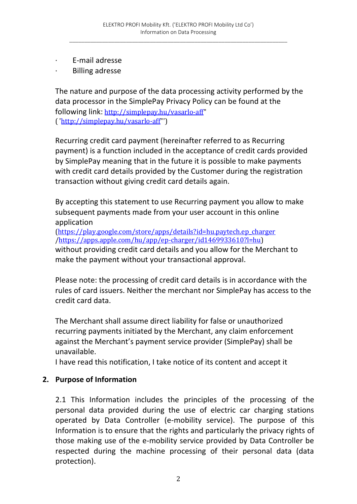- E-mail adresse
- · Billing adresse

The nature and purpose of the data processing activity performed by the data processor in the SimplePay Privacy Policy can be found at the following link: http://simplepay.hu/vasarlo-aff" ( 'http://simplepay.hu/vasarlo-aff"')

Recurring credit card payment (hereinafter referred to as Recurring payment) is a function included in the acceptance of credit cards provided by SimplePay meaning that in the future it is possible to make payments with credit card details provided by the Customer during the registration transaction without giving credit card details again.

By accepting this statement to use Recurring payment you allow to make subsequent payments made from your user account in this online application

(https://play.google.com/store/apps/details?id=hu.paytech.ep\_charger /https://apps.apple.com/hu/app/ep-charger/id1469933610?l=hu) without providing credit card details and you allow for the Merchant to make the payment without your transactional approval.

Please note: the processing of credit card details is in accordance with the rules of card issuers. Neither the merchant nor SimplePay has access to the credit card data.

The Merchant shall assume direct liability for false or unauthorized recurring payments initiated by the Merchant, any claim enforcement against the Merchant's payment service provider (SimplePay) shall be unavailable.

I have read this notification, I take notice of its content and accept it

## **2. Purpose of Information**

2.1 This Information includes the principles of the processing of the personal data provided during the use of electric car charging stations operated by Data Controller (e-mobility service). The purpose of this Information is to ensure that the rights and particularly the privacy rights of those making use of the e-mobility service provided by Data Controller be respected during the machine processing of their personal data (data protection).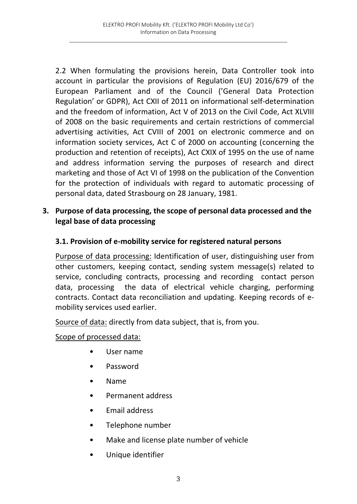2.2 When formulating the provisions herein, Data Controller took into account in particular the provisions of Regulation (EU) 2016/679 of the European Parliament and of the Council ('General Data Protection Regulation' or GDPR), Act CXII of 2011 on informational self-determination and the freedom of information, Act V of 2013 on the Civil Code, Act XLVIII of 2008 on the basic requirements and certain restrictions of commercial advertising activities, Act CVIII of 2001 on electronic commerce and on information society services, Act C of 2000 on accounting (concerning the production and retention of receipts), Act CXIX of 1995 on the use of name and address information serving the purposes of research and direct marketing and those of Act VI of 1998 on the publication of the Convention for the protection of individuals with regard to automatic processing of personal data, dated Strasbourg on 28 January, 1981.

### **3. Purpose of data processing, the scope of personal data processed and the legal base of data processing**

### **3.1. Provision of e-mobility service for registered natural persons**

Purpose of data processing: Identification of user, distinguishing user from other customers, keeping contact, sending system message(s) related to service, concluding contracts, processing and recording contact person data, processing the data of electrical vehicle charging, performing contracts. Contact data reconciliation and updating. Keeping records of emobility services used earlier.

Source of data: directly from data subject, that is, from you.

#### Scope of processed data:

- User name
- Password
- Name
- Permanent address
- Email address
- Telephone number
- Make and license plate number of vehicle
- Unique identifier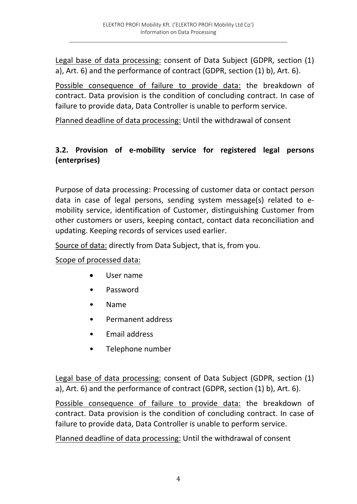Legal base of data processing: consent of Data Subject (GDPR, section (1) a), Art. 6) and the performance of contract (GDPR, section (1) b), Art. 6).

Possible consequence of failure to provide data: the breakdown of contract. Data provision is the condition of concluding contract. In case of failure to provide data, Data Controller is unable to perform service.

Planned deadline of data processing: Until the withdrawal of consent

## **3.2. Provision of e-mobility service for registered legal persons (enterprises)**

Purpose of data processing: Processing of customer data or contact person data in case of legal persons, sending system message(s) related to emobility service, identification of Customer, distinguishing Customer from other customers or users, keeping contact, contact data reconciliation and updating. Keeping records of services used earlier.

Source of data: directly from Data Subject, that is, from you.

Scope of processed data:

- User name
- Password
- Name
- Permanent address
- Email address
- Telephone number

Legal base of data processing: consent of Data Subject (GDPR, section (1) a), Art. 6) and the performance of contract (GDPR, section (1) b), Art. 6).

Possible consequence of failure to provide data: the breakdown of contract. Data provision is the condition of concluding contract. In case of failure to provide data, Data Controller is unable to perform service.

Planned deadline of data processing: Until the withdrawal of consent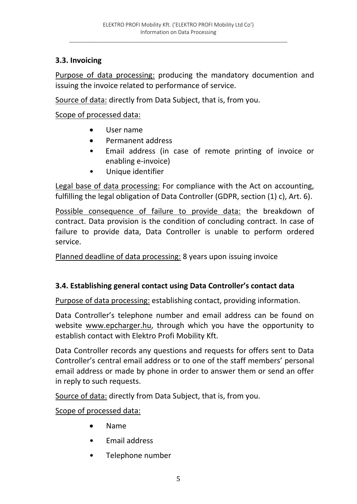$\_$  , and the set of the set of the set of the set of the set of the set of the set of the set of the set of the set of the set of the set of the set of the set of the set of the set of the set of the set of the set of th

## **3.3. Invoicing**

Purpose of data processing: producing the mandatory documention and issuing the invoice related to performance of service.

Source of data: directly from Data Subject, that is, from you.

Scope of processed data:

- User name
- Permanent address
- Email address (in case of remote printing of invoice or enabling e-invoice)
- Unique identifier

Legal base of data processing: For compliance with the Act on accounting, fulfilling the legal obligation of Data Controller (GDPR, section (1) c), Art. 6).

Possible consequence of failure to provide data: the breakdown of contract. Data provision is the condition of concluding contract. In case of failure to provide data, Data Controller is unable to perform ordered service.

Planned deadline of data processing: 8 years upon issuing invoice

# **3.4. Establishing general contact using Data Controller's contact data**

Purpose of data processing: establishing contact, providing information.

Data Controller's telephone number and email address can be found on website www.epcharger.hu, through which you have the opportunity to establish contact with Elektro Profi Mobility Kft.

Data Controller records any questions and requests for offers sent to Data Controller's central email address or to one of the staff members' personal email address or made by phone in order to answer them or send an offer in reply to such requests.

Source of data: directly from Data Subject, that is, from you.

Scope of processed data:

- Name
- Email address
- Telephone number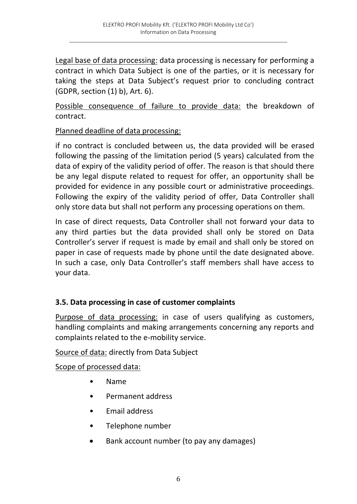Legal base of data processing: data processing is necessary for performing a contract in which Data Subject is one of the parties, or it is necessary for taking the steps at Data Subject's request prior to concluding contract (GDPR, section (1) b), Art. 6).

Possible consequence of failure to provide data: the breakdown of contract.

#### Planned deadline of data processing:

if no contract is concluded between us, the data provided will be erased following the passing of the limitation period (5 years) calculated from the data of expiry of the validity period of offer. The reason is that should there be any legal dispute related to request for offer, an opportunity shall be provided for evidence in any possible court or administrative proceedings. Following the expiry of the validity period of offer, Data Controller shall only store data but shall not perform any processing operations on them.

In case of direct requests, Data Controller shall not forward your data to any third parties but the data provided shall only be stored on Data Controller's server if request is made by email and shall only be stored on paper in case of requests made by phone until the date designated above. In such a case, only Data Controller's staff members shall have access to your data.

## **3.5. Data processing in case of customer complaints**

Purpose of data processing: in case of users qualifying as customers, handling complaints and making arrangements concerning any reports and complaints related to the e-mobility service.

Source of data: directly from Data Subject

Scope of processed data:

- Name
- Permanent address
- Email address
- Telephone number
- Bank account number (to pay any damages)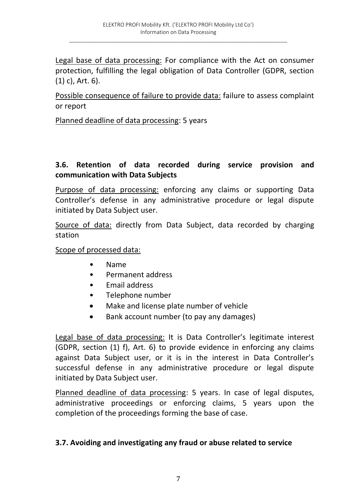Legal base of data processing: For compliance with the Act on consumer protection, fulfilling the legal obligation of Data Controller (GDPR, section (1) c), Art. 6).

Possible consequence of failure to provide data: failure to assess complaint or report

Planned deadline of data processing: 5 years

### **3.6. Retention of data recorded during service provision and communication with Data Subjects**

Purpose of data processing: enforcing any claims or supporting Data Controller's defense in any administrative procedure or legal dispute initiated by Data Subject user.

Source of data: directly from Data Subject, data recorded by charging station

Scope of processed data:

- Name
- Permanent address
- Email address
- Telephone number
- Make and license plate number of vehicle
- Bank account number (to pay any damages)

Legal base of data processing: It is Data Controller's legitimate interest (GDPR, section (1) f), Art. 6) to provide evidence in enforcing any claims against Data Subject user, or it is in the interest in Data Controller's successful defense in any administrative procedure or legal dispute initiated by Data Subject user.

Planned deadline of data processing: 5 years. In case of legal disputes, administrative proceedings or enforcing claims, 5 years upon the completion of the proceedings forming the base of case.

#### **3.7. Avoiding and investigating any fraud or abuse related to service**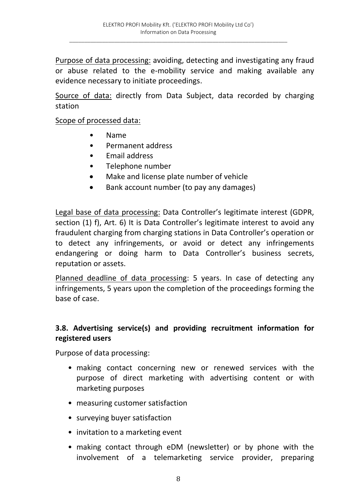Purpose of data processing: avoiding, detecting and investigating any fraud or abuse related to the e-mobility service and making available any evidence necessary to initiate proceedings.

Source of data: directly from Data Subject, data recorded by charging station

#### Scope of processed data:

- Name
- Permanent address
- Email address
- Telephone number
- Make and license plate number of vehicle
- Bank account number (to pay any damages)

Legal base of data processing: Data Controller's legitimate interest (GDPR, section (1) f), Art. 6) It is Data Controller's legitimate interest to avoid any fraudulent charging from charging stations in Data Controller's operation or to detect any infringements, or avoid or detect any infringements endangering or doing harm to Data Controller's business secrets, reputation or assets.

Planned deadline of data processing: 5 years. In case of detecting any infringements, 5 years upon the completion of the proceedings forming the base of case.

### **3.8. Advertising service(s) and providing recruitment information for registered users**

Purpose of data processing:

- making contact concerning new or renewed services with the purpose of direct marketing with advertising content or with marketing purposes
- measuring customer satisfaction
- surveying buyer satisfaction
- invitation to a marketing event
- making contact through eDM (newsletter) or by phone with the involvement of a telemarketing service provider, preparing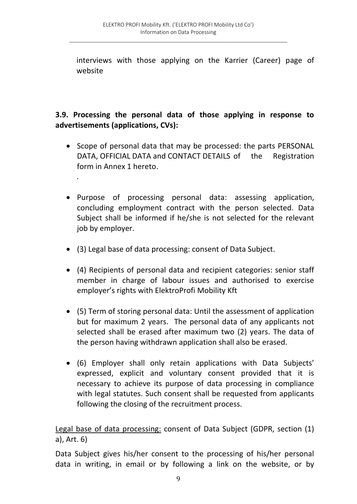interviews with those applying on the Karrier (Career) page of website

# **3.9. Processing the personal data of those applying in response to advertisements (applications, CVs):**

- Scope of personal data that may be processed: the parts PERSONAL DATA, OFFICIAL DATA and CONTACT DETAILS of the Registration form in Annex 1 hereto.
- Purpose of processing personal data: assessing application, concluding employment contract with the person selected. Data Subject shall be informed if he/she is not selected for the relevant job by employer.
- (3) Legal base of data processing: consent of Data Subject.

.

- (4) Recipients of personal data and recipient categories: senior staff member in charge of labour issues and authorised to exercise employer's rights with ElektroProfi Mobility Kft
- (5) Term of storing personal data: Until the assessment of application but for maximum 2 years. The personal data of any applicants not selected shall be erased after maximum two (2) years. The data of the person having withdrawn application shall also be erased.
- (6) Employer shall only retain applications with Data Subjects' expressed, explicit and voluntary consent provided that it is necessary to achieve its purpose of data processing in compliance with legal statutes. Such consent shall be requested from applicants following the closing of the recruitment process.

Legal base of data processing: consent of Data Subject (GDPR, section (1) a), Art. 6)

Data Subject gives his/her consent to the processing of his/her personal data in writing, in email or by following a link on the website, or by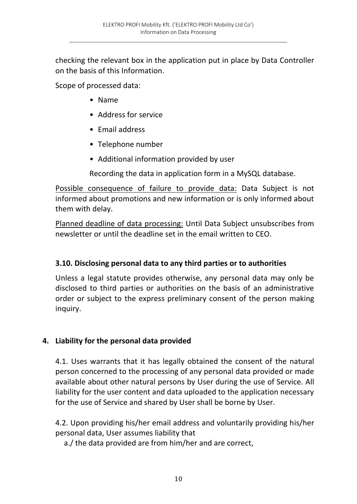checking the relevant box in the application put in place by Data Controller on the basis of this Information.

Scope of processed data:

- Name
- Address for service
- Email address
- Telephone number
- Additional information provided by user

Recording the data in application form in a MySQL database.

Possible consequence of failure to provide data: Data Subject is not informed about promotions and new information or is only informed about them with delay.

Planned deadline of data processing: Until Data Subject unsubscribes from newsletter or until the deadline set in the email written to CEO.

#### **3.10. Disclosing personal data to any third parties or to authorities**

Unless a legal statute provides otherwise, any personal data may only be disclosed to third parties or authorities on the basis of an administrative order or subject to the express preliminary consent of the person making inquiry.

#### **4. Liability for the personal data provided**

4.1. Uses warrants that it has legally obtained the consent of the natural person concerned to the processing of any personal data provided or made available about other natural persons by User during the use of Service. All liability for the user content and data uploaded to the application necessary for the use of Service and shared by User shall be borne by User.

4.2. Upon providing his/her email address and voluntarily providing his/her personal data, User assumes liability that

a./ the data provided are from him/her and are correct,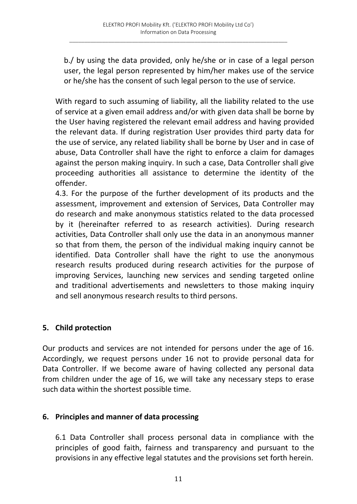b./ by using the data provided, only he/she or in case of a legal person user, the legal person represented by him/her makes use of the service or he/she has the consent of such legal person to the use of service.

With regard to such assuming of liability, all the liability related to the use of service at a given email address and/or with given data shall be borne by the User having registered the relevant email address and having provided the relevant data. If during registration User provides third party data for the use of service, any related liability shall be borne by User and in case of abuse, Data Controller shall have the right to enforce a claim for damages against the person making inquiry. In such a case, Data Controller shall give proceeding authorities all assistance to determine the identity of the offender.

4.3. For the purpose of the further development of its products and the assessment, improvement and extension of Services, Data Controller may do research and make anonymous statistics related to the data processed by it (hereinafter referred to as research activities). During research activities, Data Controller shall only use the data in an anonymous manner so that from them, the person of the individual making inquiry cannot be identified. Data Controller shall have the right to use the anonymous research results produced during research activities for the purpose of improving Services, launching new services and sending targeted online and traditional advertisements and newsletters to those making inquiry and sell anonymous research results to third persons.

## **5. Child protection**

Our products and services are not intended for persons under the age of 16. Accordingly, we request persons under 16 not to provide personal data for Data Controller. If we become aware of having collected any personal data from children under the age of 16, we will take any necessary steps to erase such data within the shortest possible time.

#### **6. Principles and manner of data processing**

6.1 Data Controller shall process personal data in compliance with the principles of good faith, fairness and transparency and pursuant to the provisions in any effective legal statutes and the provisions set forth herein.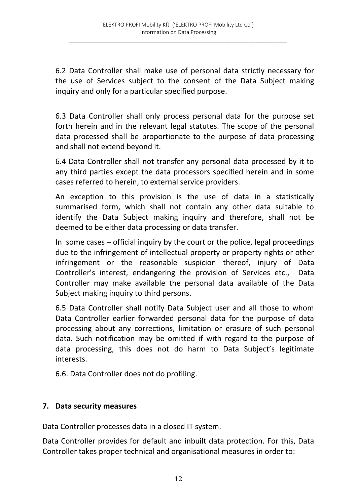6.2 Data Controller shall make use of personal data strictly necessary for the use of Services subject to the consent of the Data Subject making inquiry and only for a particular specified purpose.

6.3 Data Controller shall only process personal data for the purpose set forth herein and in the relevant legal statutes. The scope of the personal data processed shall be proportionate to the purpose of data processing and shall not extend beyond it.

6.4 Data Controller shall not transfer any personal data processed by it to any third parties except the data processors specified herein and in some cases referred to herein, to external service providers.

An exception to this provision is the use of data in a statistically summarised form, which shall not contain any other data suitable to identify the Data Subject making inquiry and therefore, shall not be deemed to be either data processing or data transfer.

In some cases – official inquiry by the court or the police, legal proceedings due to the infringement of intellectual property or property rights or other infringement or the reasonable suspicion thereof, injury of Data Controller's interest, endangering the provision of Services etc., Data Controller may make available the personal data available of the Data Subject making inquiry to third persons.

6.5 Data Controller shall notify Data Subject user and all those to whom Data Controller earlier forwarded personal data for the purpose of data processing about any corrections, limitation or erasure of such personal data. Such notification may be omitted if with regard to the purpose of data processing, this does not do harm to Data Subject's legitimate interests.

6.6. Data Controller does not do profiling.

#### **7. Data security measures**

Data Controller processes data in a closed IT system.

Data Controller provides for default and inbuilt data protection. For this, Data Controller takes proper technical and organisational measures in order to: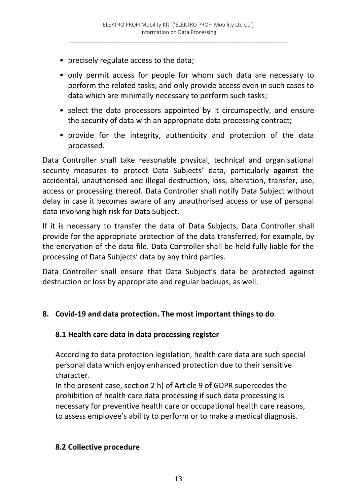- precisely regulate access to the data;
- only permit access for people for whom such data are necessary to perform the related tasks, and only provide access even in such cases to data which are minimally necessary to perform such tasks;
- select the data processors appointed by it circumspectly, and ensure the security of data with an appropriate data processing contract;
- provide for the integrity, authenticity and protection of the data processed.

Data Controller shall take reasonable physical, technical and organisational security measures to protect Data Subjects' data, particularly against the accidental, unauthorised and illegal destruction, loss, alteration, transfer, use, access or processing thereof. Data Controller shall notify Data Subject without delay in case it becomes aware of any unauthorised access or use of personal data involving high risk for Data Subject.

If it is necessary to transfer the data of Data Subjects, Data Controller shall provide for the appropriate protection of the data transferred, for example, by the encryption of the data file. Data Controller shall be held fully liable for the processing of Data Subjects' data by any third parties.

Data Controller shall ensure that Data Subject's data be protected against destruction or loss by appropriate and regular backups, as well.

#### **8. Covid-19 and data protection. The most important things to do**

#### **8.1 Health care data in data processing register**

According to data protection legislation, health care data are such special personal data which enjoy enhanced protection due to their sensitive character.

In the present case, section 2 h) of Article 9 of GDPR supercedes the prohibition of health care data processing if such data processing is necessary for preventive health care or occupational health care reasons, to assess employee's ability to perform or to make a medical diagnosis.

#### **8.2 Collective procedure**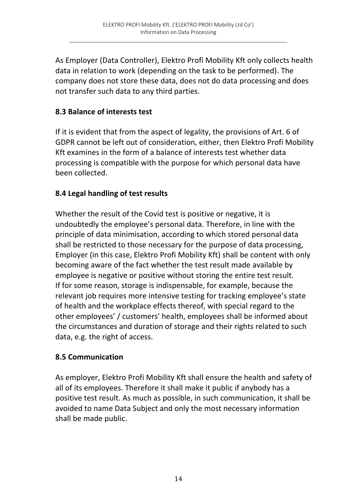As Employer (Data Controller), Elektro Profi Mobility Kft only collects health data in relation to work (depending on the task to be performed). The company does not store these data, does not do data processing and does not transfer such data to any third parties.

### **8.3 Balance of interests test**

If it is evident that from the aspect of legality, the provisions of Art. 6 of GDPR cannot be left out of consideration, either, then Elektro Profi Mobility Kft examines in the form of a balance of interests test whether data processing is compatible with the purpose for which personal data have been collected.

## **8.4 Legal handling of test results**

Whether the result of the Covid test is positive or negative, it is undoubtedly the employee's personal data. Therefore, in line with the principle of data minimisation, according to which stored personal data shall be restricted to those necessary for the purpose of data processing, Employer (in this case, Elektro Profi Mobility Kft) shall be content with only becoming aware of the fact whether the test result made available by employee is negative or positive without storing the entire test result. If for some reason, storage is indispensable, for example, because the relevant job requires more intensive testing for tracking employee's state of health and the workplace effects thereof, with special regard to the other employees' / customers' health, employees shall be informed about the circumstances and duration of storage and their rights related to such data, e.g. the right of access.

#### **8.5 Communication**

As employer, Elektro Profi Mobility Kft shall ensure the health and safety of all of its employees. Therefore it shall make it public if anybody has a positive test result. As much as possible, in such communication, it shall be avoided to name Data Subject and only the most necessary information shall be made public.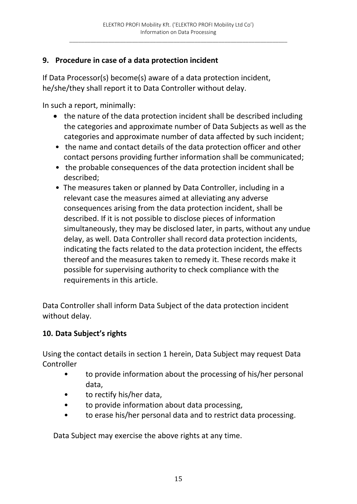# **9. Procedure in case of a data protection incident**

If Data Processor(s) become(s) aware of a data protection incident, he/she/they shall report it to Data Controller without delay.

In such a report, minimally:

- the nature of the data protection incident shall be described including the categories and approximate number of Data Subjects as well as the categories and approximate number of data affected by such incident;
- the name and contact details of the data protection officer and other contact persons providing further information shall be communicated;
- the probable consequences of the data protection incident shall be described;
- The measures taken or planned by Data Controller, including in a relevant case the measures aimed at alleviating any adverse consequences arising from the data protection incident, shall be described. If it is not possible to disclose pieces of information simultaneously, they may be disclosed later, in parts, without any undue delay, as well. Data Controller shall record data protection incidents, indicating the facts related to the data protection incident, the effects thereof and the measures taken to remedy it. These records make it possible for supervising authority to check compliance with the requirements in this article.

Data Controller shall inform Data Subject of the data protection incident without delay.

## **10. Data Subject's rights**

Using the contact details in section 1 herein, Data Subject may request Data Controller

- to provide information about the processing of his/her personal data,
- to rectify his/her data,
- to provide information about data processing,
- to erase his/her personal data and to restrict data processing.

Data Subject may exercise the above rights at any time.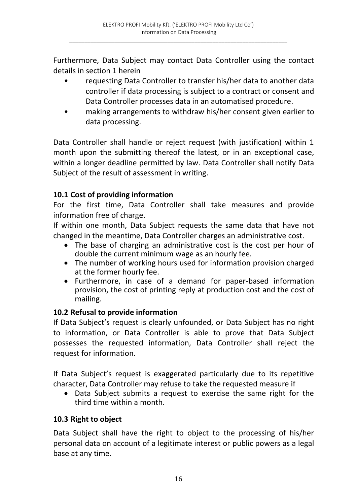$\_$  , and the set of the set of the set of the set of the set of the set of the set of the set of the set of the set of the set of the set of the set of the set of the set of the set of the set of the set of the set of th

Furthermore, Data Subject may contact Data Controller using the contact details in section 1 herein

- requesting Data Controller to transfer his/her data to another data controller if data processing is subject to a contract or consent and Data Controller processes data in an automatised procedure.
- making arrangements to withdraw his/her consent given earlier to data processing.

Data Controller shall handle or reject request (with justification) within 1 month upon the submitting thereof the latest, or in an exceptional case, within a longer deadline permitted by law. Data Controller shall notify Data Subject of the result of assessment in writing.

## **10.1 Cost of providing information**

For the first time, Data Controller shall take measures and provide information free of charge.

If within one month, Data Subject requests the same data that have not changed in the meantime, Data Controller charges an administrative cost.

- The base of charging an administrative cost is the cost per hour of double the current minimum wage as an hourly fee.
- The number of working hours used for information provision charged at the former hourly fee.
- Furthermore, in case of a demand for paper-based information provision, the cost of printing reply at production cost and the cost of mailing.

#### **10.2 Refusal to provide information**

If Data Subject's request is clearly unfounded, or Data Subject has no right to information, or Data Controller is able to prove that Data Subject possesses the requested information, Data Controller shall reject the request for information.

If Data Subject's request is exaggerated particularly due to its repetitive character, Data Controller may refuse to take the requested measure if

 Data Subject submits a request to exercise the same right for the third time within a month.

## **10.3 Right to object**

Data Subject shall have the right to object to the processing of his/her personal data on account of a legitimate interest or public powers as a legal base at any time.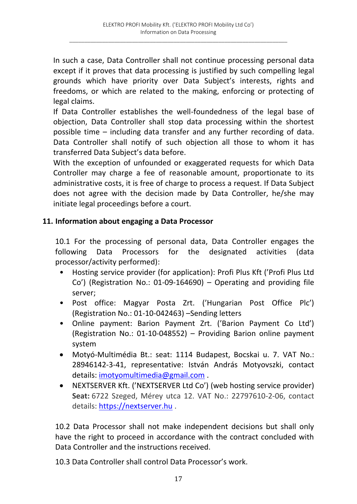In such a case, Data Controller shall not continue processing personal data except if it proves that data processing is justified by such compelling legal grounds which have priority over Data Subject's interests, rights and freedoms, or which are related to the making, enforcing or protecting of legal claims.

If Data Controller establishes the well-foundedness of the legal base of objection, Data Controller shall stop data processing within the shortest possible time – including data transfer and any further recording of data. Data Controller shall notify of such objection all those to whom it has transferred Data Subject's data before.

With the exception of unfounded or exaggerated requests for which Data Controller may charge a fee of reasonable amount, proportionate to its administrative costs, it is free of charge to process a request. If Data Subject does not agree with the decision made by Data Controller, he/she may initiate legal proceedings before a court.

#### **11. Information about engaging a Data Processor**

10.1 For the processing of personal data, Data Controller engages the following Data Processors for the designated activities (data processor/activity performed):

- Hosting service provider (for application): Profi Plus Kft ('Profi Plus Ltd Co') (Registration No.: 01-09-164690) – Operating and providing file server;
- Post office: Magyar Posta Zrt. ('Hungarian Post Office Plc') (Registration No.: 01-10-042463) –Sending letters
- Online payment: Barion Payment Zrt. ('Barion Payment Co Ltd') (Registration No.: 01-10-048552) – Providing Barion online payment system
- Motyó-Multimédia Bt.: seat: 1114 Budapest, Bocskai u. 7. VAT No.: 28946142-3-41, representative: István András Motyovszki, contact details: imotyomultimedia@gmail.com .
- NEXTSERVER Kft. ('NEXTSERVER Ltd Co') (web hosting service provider) **Seat:** 6722 Szeged, Mérey utca 12. VAT No.: 22797610-2-06, contact details: https://nextserver.hu .

10.2 Data Processor shall not make independent decisions but shall only have the right to proceed in accordance with the contract concluded with Data Controller and the instructions received.

10.3 Data Controller shall control Data Processor's work.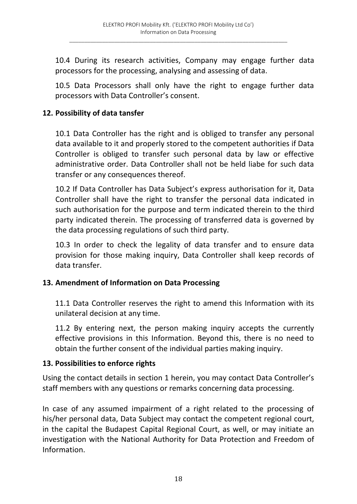10.4 During its research activities, Company may engage further data processors for the processing, analysing and assessing of data.

10.5 Data Processors shall only have the right to engage further data processors with Data Controller's consent.

## **12. Possibility of data tansfer**

10.1 Data Controller has the right and is obliged to transfer any personal data available to it and properly stored to the competent authorities if Data Controller is obliged to transfer such personal data by law or effective administrative order. Data Controller shall not be held liabe for such data transfer or any consequences thereof.

10.2 If Data Controller has Data Subject's express authorisation for it, Data Controller shall have the right to transfer the personal data indicated in such authorisation for the purpose and term indicated therein to the third party indicated therein. The processing of transferred data is governed by the data processing regulations of such third party.

10.3 In order to check the legality of data transfer and to ensure data provision for those making inquiry, Data Controller shall keep records of data transfer.

#### **13. Amendment of Information on Data Processing**

11.1 Data Controller reserves the right to amend this Information with its unilateral decision at any time.

11.2 By entering next, the person making inquiry accepts the currently effective provisions in this Information. Beyond this, there is no need to obtain the further consent of the individual parties making inquiry.

#### **13. Possibilities to enforce rights**

Using the contact details in section 1 herein, you may contact Data Controller's staff members with any questions or remarks concerning data processing.

In case of any assumed impairment of a right related to the processing of his/her personal data, Data Subject may contact the competent regional court, in the capital the Budapest Capital Regional Court, as well, or may initiate an investigation with the National Authority for Data Protection and Freedom of Information.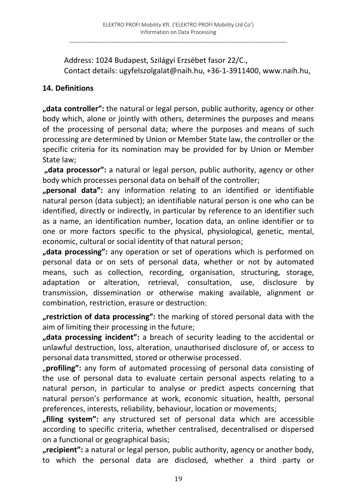Address: 1024 Budapest, Szilágyi Erzsébet fasor 22/C., Contact details: ugyfelszolgalat@naih.hu, +36-1-3911400, www.naih.hu,

## **14. Definitions**

**"data controller":** the natural or legal person, public authority, agency or other body which, alone or jointly with others, determines the purposes and means of the processing of personal data; where the purposes and means of such processing are determined by Union or Member State law, the controller or the specific criteria for its nomination may be provided for by Union or Member State law;

**"data processor":** a natural or legal person, public authority, agency or other body which processes personal data on behalf of the controller;

**"personal data":** any information relating to an identified or identifiable natural person (data subject); an identifiable natural person is one who can be identified, directly or indirectly, in particular by reference to an identifier such as a name, an identification number, location data, an online identifier or to one or more factors specific to the physical, physiological, genetic, mental, economic, cultural or social identity of that natural person;

**"data processing":** any operation or set of operations which is performed on personal data or on sets of personal data, whether or not by automated means, such as collection, recording, organisation, structuring, storage, adaptation or alteration, retrieval, consultation, use, disclosure by transmission, dissemination or otherwise making available, alignment or combination, restriction, erasure or destruction;

**"restriction of data processing":** the marking of stored personal data with the aim of limiting their processing in the future;

**"data processing incident":** a breach of security leading to the accidental or unlawful destruction, loss, alteration, unauthorised disclosure of, or access to personal data transmitted, stored or otherwise processed.

"**profiling":** any form of automated processing of personal data consisting of the use of personal data to evaluate certain personal aspects relating to a natural person, in particular to analyse or predict aspects concerning that natural person's performance at work, economic situation, health, personal preferences, interests, reliability, behaviour, location or movements;

**"filing system":** any structured set of personal data which are accessible according to specific criteria, whether centralised, decentralised or dispersed on a functional or geographical basis;

**"recipient":** a natural or legal person, public authority, agency or another body, to which the personal data are disclosed, whether a third party or